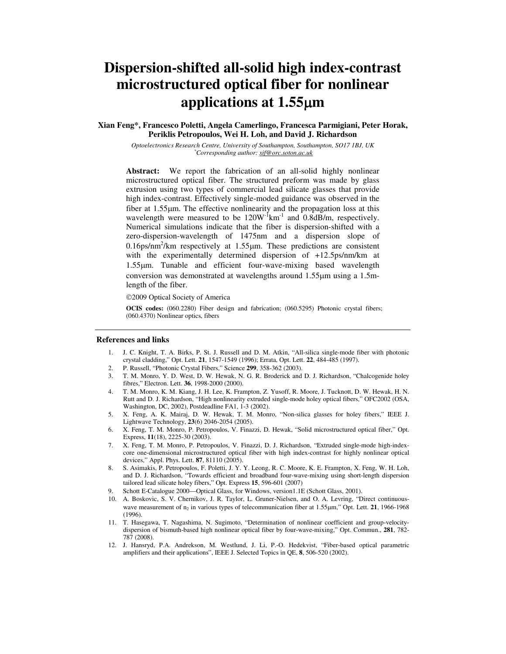# **Dispersion-shifted all-solid high index-contrast microstructured optical fiber for nonlinear applications at 1.55**µ**m**

**Xian Feng\*, Francesco Poletti, Angela Camerlingo, Francesca Parmigiani, Peter Horak, Periklis Petropoulos, Wei H. Loh, and David J. Richardson**

> *Optoelectronics Research Centre, University of Southampton, Southampton, SO17 1BJ, UK \*Corresponding author: xif@orc.soton.ac.uk*

**Abstract:** We report the fabrication of an all-solid highly nonlinear microstructured optical fiber. The structured preform was made by glass extrusion using two types of commercial lead silicate glasses that provide high index-contrast. Effectively single-moded guidance was observed in the fiber at 1.55µm. The effective nonlinearity and the propagation loss at this wavelength were measured to be  $120W^{-1}km^{-1}$  and  $0.8dB/m$ , respectively. Numerical simulations indicate that the fiber is dispersion-shifted with a zero-dispersion-wavelength of 1475nm and a dispersion slope of  $0.16$ ps/nm<sup>2</sup>/km respectively at  $1.55 \mu$ m. These predictions are consistent with the experimentally determined dispersion of +12.5ps/nm/km at 1.55µm. Tunable and efficient four-wave-mixing based wavelength conversion was demonstrated at wavelengths around 1.55µm using a 1.5mlength of the fiber.

2009 Optical Society of America

**OCIS codes:** (060.2280) Fiber design and fabrication; (060.5295) Photonic crystal fibers; (060.4370) Nonlinear optics, fibers

#### **References and links**

- 1. J. C. Knight, T. A. Birks, P. St. J. Russell and D. M. Atkin, "All-silica single-mode fiber with photonic crystal cladding," Opt. Lett. **21**, 1547-1549 (1996); Errata, Opt. Lett. **22**, 484-485 (1997).
- 2. P. Russell, "Photonic Crystal Fibers," Science **299**, 358-362 (2003).
- 3. T. M. Monro, Y. D. West, D. W. Hewak, N. G. R. Broderick and D. J. Richardson, "Chalcogenide holey fibres," Electron. Lett. **36**, 1998-2000 (2000).
- 4. T. M. Monro, K. M. Kiang, J. H. Lee, K. Frampton, Z. Yusoff, R. Moore, J. Tucknott, D. W. Hewak, H. N. Rutt and D. J. Richardson, "High nonlinearity extruded single-mode holey optical fibers," OFC2002 (OSA, Washington, DC, 2002), Postdeadline FA1, 1-3 (2002).
- 5. X. Feng, A. K. Mairaj, D. W. Hewak, T. M. Monro, "Non-silica glasses for holey fibers," IEEE J. Lightwave Technology, **23**(6) 2046-2054 (2005).
- 6. X. Feng, T. M. Monro, P. Petropoulos, V. Finazzi, D. Hewak, "Solid microstructured optical fiber," Opt. Express, **11**(18), 2225-30 (2003).
- 7. X. Feng, T. M. Monro, P. Petropoulos, V. Finazzi, D. J. Richardson, "Extruded single-mode high-indexcore one-dimensional microstructured optical fiber with high index-contrast for highly nonlinear optical devices," Appl. Phys. Lett. **87**, 81110 (2005).
- 8. S. Asimakis, P. Petropoulos, F. Poletti, J. Y. Y. Leong, R. C. Moore, K. E. Frampton, X. Feng, W. H. Loh, and D. J. Richardson, "Towards efficient and broadband four-wave-mixing using short-length dispersion tailored lead silicate holey fibers," Opt. Express **15**, 596-601 (2007)
- 9. Schott E-Catalogue 2000—Optical Glass, for Windows, version1.1E (Schott Glass, 2001).
- 10. A. Boskovic, S. V. Chernikov, J. R. Taylor, L. Gruner-Nielsen, and O. A. Levring, "Direct continuouswave measurement of  $n_2$  in various types of telecommunication fiber at 1.55 $\mu$ m," Opt. Lett. **21**, 1966-1968 (1996).
- 11. T. Hasegawa, T. Nagashima, N. Sugimoto, "Determination of nonlinear coefficient and group-velocitydispersion of bismuth-based high nonlinear optical fiber by four-wave-mixing," Opt. Commun., **281**, 782- 787 (2008).
- 12. J. Hansryd, P.A. Andrekson, M. Westlund, J. Li, P.-O. Hedekvist, "Fiber-based optical parametric amplifiers and their applications", IEEE J. Selected Topics in QE, **8**, 506-520 (2002).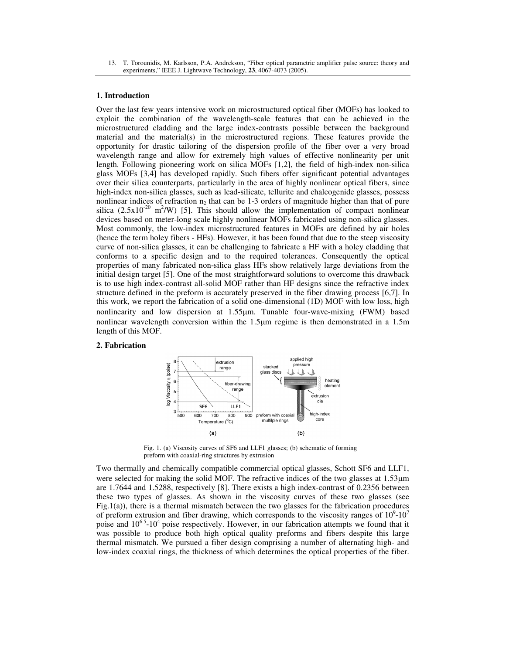13. T. Torounidis, M. Karlsson, P.A. Andrekson, "Fiber optical parametric amplifier pulse source: theory and experiments," IEEE J. Lightwave Technology, **23**, 4067-4073 (2005).

## **1. Introduction**

Over the last few years intensive work on microstructured optical fiber (MOFs) has looked to exploit the combination of the wavelength-scale features that can be achieved in the microstructured cladding and the large index-contrasts possible between the background material and the material(s) in the microstructured regions. These features provide the opportunity for drastic tailoring of the dispersion profile of the fiber over a very broad wavelength range and allow for extremely high values of effective nonlinearity per unit length. Following pioneering work on silica MOFs [1,2], the field of high-index non-silica glass MOFs [3,4] has developed rapidly. Such fibers offer significant potential advantages over their silica counterparts, particularly in the area of highly nonlinear optical fibers, since high-index non-silica glasses, such as lead-silicate, tellurite and chalcogenide glasses, possess nonlinear indices of refraction  $n_2$  that can be 1-3 orders of magnitude higher than that of pure silica  $(2.5x10^{-20} \text{ m}^2/\text{W})$  [5]. This should allow the implementation of compact nonlinear devices based on meter-long scale highly nonlinear MOFs fabricated using non-silica glasses. Most commonly, the low-index microstructured features in MOFs are defined by air holes (hence the term holey fibers - HFs). However, it has been found that due to the steep viscosity curve of non-silica glasses, it can be challenging to fabricate a HF with a holey cladding that conforms to a specific design and to the required tolerances. Consequently the optical properties of many fabricated non-silica glass HFs show relatively large deviations from the initial design target [5]. One of the most straightforward solutions to overcome this drawback is to use high index-contrast all-solid MOF rather than HF designs since the refractive index structure defined in the preform is accurately preserved in the fiber drawing process [6,7]. In this work, we report the fabrication of a solid one-dimensional (1D) MOF with low loss, high nonlinearity and low dispersion at 1.55µm. Tunable four-wave-mixing (FWM) based nonlinear wavelength conversion within the 1.5µm regime is then demonstrated in a 1.5m length of this MOF.

## **2. Fabrication**



Fig. 1. (a) Viscosity curves of SF6 and LLF1 glasses; (b) schematic of forming preform with coaxial-ring structures by extrusion

Two thermally and chemically compatible commercial optical glasses, Schott SF6 and LLF1, were selected for making the solid MOF. The refractive indices of the two glasses at 1.53µm are 1.7644 and 1.5288, respectively [8]. There exists a high index-contrast of 0.2356 between these two types of glasses. As shown in the viscosity curves of these two glasses (see Fig.1(a)), there is a thermal mismatch between the two glasses for the fabrication procedures of preform extrusion and fiber drawing, which corresponds to the viscosity ranges of  $10^9$ - $10^7$ poise and  $10^{6.5}$ -10<sup>4</sup> poise respectively. However, in our fabrication attempts we found that it was possible to produce both high optical quality preforms and fibers despite this large thermal mismatch. We pursued a fiber design comprising a number of alternating high- and low-index coaxial rings, the thickness of which determines the optical properties of the fiber.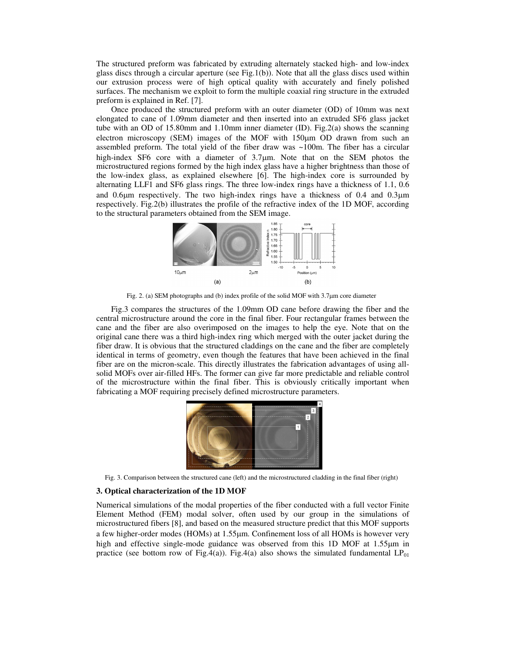The structured preform was fabricated by extruding alternately stacked high- and low-index glass discs through a circular aperture (see Fig.1(b)). Note that all the glass discs used within our extrusion process were of high optical quality with accurately and finely polished surfaces. The mechanism we exploit to form the multiple coaxial ring structure in the extruded preform is explained in Ref. [7].

Once produced the structured preform with an outer diameter (OD) of 10mm was next elongated to cane of 1.09mm diameter and then inserted into an extruded SF6 glass jacket tube with an OD of 15.80mm and 1.10mm inner diameter (ID). Fig.2(a) shows the scanning electron microscopy (SEM) images of the MOF with 150µm OD drawn from such an assembled preform. The total yield of the fiber draw was  $\sim$ 100m. The fiber has a circular high-index SF6 core with a diameter of 3.7<sup>um</sup>. Note that on the SEM photos the microstructured regions formed by the high index glass have a higher brightness than those of the low-index glass, as explained elsewhere [6]. The high-index core is surrounded by alternating LLF1 and SF6 glass rings. The three low-index rings have a thickness of 1.1, 0.6 and 0.6µm respectively. The two high-index rings have a thickness of 0.4 and 0.3µm respectively. Fig.2(b) illustrates the profile of the refractive index of the 1D MOF, according to the structural parameters obtained from the SEM image.



Fig. 2. (a) SEM photographs and (b) index profile of the solid MOF with 3.7µm core diameter

Fig.3 compares the structures of the 1.09mm OD cane before drawing the fiber and the central microstructure around the core in the final fiber. Four rectangular frames between the cane and the fiber are also overimposed on the images to help the eye. Note that on the original cane there was a third high-index ring which merged with the outer jacket during the fiber draw. It is obvious that the structured claddings on the cane and the fiber are completely identical in terms of geometry, even though the features that have been achieved in the final fiber are on the micron-scale. This directly illustrates the fabrication advantages of using allsolid MOFs over air-filled HFs. The former can give far more predictable and reliable control of the microstructure within the final fiber. This is obviously critically important when fabricating a MOF requiring precisely defined microstructure parameters.



Fig. 3. Comparison between the structured cane (left) and the microstructured cladding in the final fiber (right)

### **3. Optical characterization of the 1D MOF**

Numerical simulations of the modal properties of the fiber conducted with a full vector Finite Element Method (FEM) modal solver, often used by our group in the simulations of microstructured fibers [8], and based on the measured structure predict that this MOF supports a few higher-order modes (HOMs) at 1.55µm. Confinement loss of all HOMs is however very high and effective single-mode guidance was observed from this 1D MOF at 1.55 $\mu$ m in practice (see bottom row of Fig.4(a)). Fig.4(a) also shows the simulated fundamental  $LP_{01}$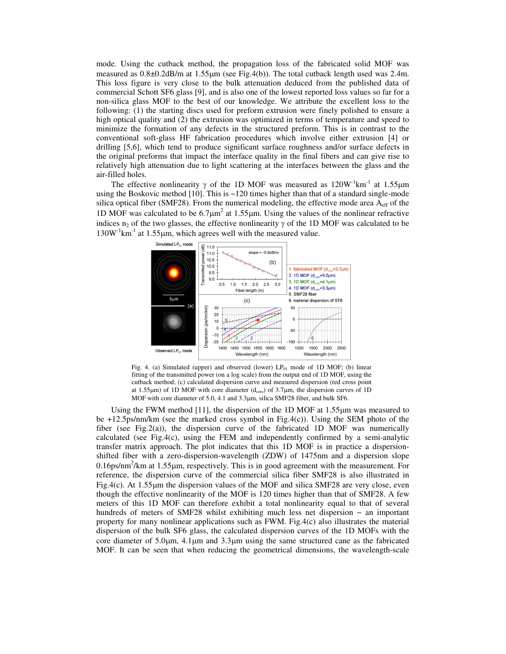mode. Using the cutback method, the propagation loss of the fabricated solid MOF was measured as 0.8±0.2dB/m at 1.55µm (see Fig.4(b)). The total cutback length used was 2.4m. This loss figure is very close to the bulk attenuation deduced from the published data of commercial Schott SF6 glass [9], and is also one of the lowest reported loss values so far for a non-silica glass MOF to the best of our knowledge. We attribute the excellent loss to the following: (1) the starting discs used for preform extrusion were finely polished to ensure a high optical quality and (2) the extrusion was optimized in terms of temperature and speed to minimize the formation of any defects in the structured preform. This is in contrast to the conventional soft-glass HF fabrication procedures which involve either extrusion [4] or drilling [5,6], which tend to produce significant surface roughness and/or surface defects in the original preforms that impact the interface quality in the final fibers and can give rise to relatively high attenuation due to light scattering at the interfaces between the glass and the air-filled holes.

The effective nonlinearity  $\gamma$  of the 1D MOF was measured as 120W<sup>-1</sup>km<sup>-1</sup> at 1.55 $\mu$ m using the Boskovic method  $[10]$ . This is  $\sim$  120 times higher than that of a standard single-mode silica optical fiber (SMF28). From the numerical modeling, the effective mode area  $A_{\text{eff}}$  of the 1D MOF was calculated to be  $6.7 \mu m^2$  at 1.55 $\mu$ m. Using the values of the nonlinear refractive indices  $n_2$  of the two glasses, the effective nonlinearity  $\gamma$  of the 1D MOF was calculated to be  $130W<sup>-1</sup>km<sup>-1</sup>$  at 1.55 µm, which agrees well with the measured value.



Fig. 4. (a) Simulated (upper) and observed (lower)  $LP_{01}$  mode of 1D MOF; (b) linear fitting of the transmitted power (on a log scale) from the output end of 1D MOF, using the cutback method; (c) calculated dispersion curve and measured dispersion (red cross point at 1.55 $\mu$ m) of 1D MOF with core diameter ( $d_{\text{core}}$ ) of 3.7 $\mu$ m, the dispersion curves of 1D MOF with core diameter of 5.0, 4.1 and 3.3µm, silica SMF28 fiber, and bulk SF6.

Using the FWM method [11], the dispersion of the 1D MOF at 1.55µm was measured to be +12.5ps/nm/km (see the marked cross symbol in Fig.4(c)). Using the SEM photo of the fiber (see Fig.2(a)), the dispersion curve of the fabricated 1D MOF was numerically calculated (see Fig.4(c), using the FEM and independently confirmed by a semi-analytic transfer matrix approach. The plot indicates that this 1D MOF is in practice a dispersionshifted fiber with a zero-dispersion-wavelength (ZDW) of 1475nm and a dispersion slope  $0.16$ ps/nm<sup>2</sup>/km at  $1.55$ µm, respectively. This is in good agreement with the measurement. For reference, the dispersion curve of the commercial silica fiber SMF28 is also illustrated in Fig.4(c). At 1.55µm the dispersion values of the MOF and silica SMF28 are very close, even though the effective nonlinearity of the MOF is 120 times higher than that of SMF28. A few meters of this 1D MOF can therefore exhibit a total nonlinearity equal to that of several hundreds of meters of SMF28 whilst exhibiting much less net dispersion − an important property for many nonlinear applications such as FWM. Fig.4(c) also illustrates the material dispersion of the bulk SF6 glass, the calculated dispersion curves of the 1D MOFs with the core diameter of  $5.0\mu$ m,  $4.1\mu$ m and  $3.3\mu$ m using the same structured cane as the fabricated MOF. It can be seen that when reducing the geometrical dimensions, the wavelength-scale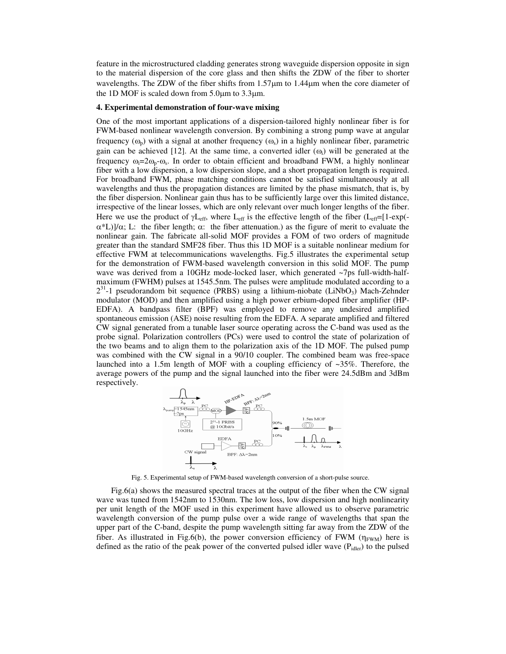feature in the microstructured cladding generates strong waveguide dispersion opposite in sign to the material dispersion of the core glass and then shifts the ZDW of the fiber to shorter wavelengths. The ZDW of the fiber shifts from  $1.57\mu m$  to  $1.44\mu m$  when the core diameter of the 1D MOF is scaled down from 5.0µm to 3.3µm.

## **4. Experimental demonstration of four-wave mixing**

One of the most important applications of a dispersion-tailored highly nonlinear fiber is for FWM-based nonlinear wavelength conversion. By combining a strong pump wave at angular frequency  $(\omega_p)$  with a signal at another frequency  $(\omega_s)$  in a highly nonlinear fiber, parametric gain can be achieved [12]. At the same time, a converted idler  $(\omega_i)$  will be generated at the frequency  $\omega_i = 2\omega_p - \omega_s$ . In order to obtain efficient and broadband FWM, a highly nonlinear fiber with a low dispersion, a low dispersion slope, and a short propagation length is required. For broadband FWM, phase matching conditions cannot be satisfied simultaneously at all wavelengths and thus the propagation distances are limited by the phase mismatch, that is, by the fiber dispersion. Nonlinear gain thus has to be sufficiently large over this limited distance, irrespective of the linear losses, which are only relevant over much longer lengths of the fiber. Here we use the product of  $\gamma L_{eff}$ , where  $L_{eff}$  is the effective length of the fiber ( $L_{eff}$ =[1-exp(- $\alpha^*$ L)]/ $\alpha$ ; L: the fiber length;  $\alpha$ : the fiber attenuation.) as the figure of merit to evaluate the nonlinear gain. The fabricate all-solid MOF provides a FOM of two orders of magnitude greater than the standard SMF28 fiber. Thus this 1D MOF is a suitable nonlinear medium for effective FWM at telecommunications wavelengths. Fig.5 illustrates the experimental setup for the demonstration of FWM-based wavelength conversion in this solid MOF. The pump wave was derived from a 10GHz mode-locked laser, which generated ~7ps full-width-halfmaximum (FWHM) pulses at 1545.5nm. The pulses were amplitude modulated according to a  $2^{31}$ -1 pseudorandom bit sequence (PRBS) using a lithium-niobate (LiNbO<sub>3</sub>) Mach-Zehnder modulator (MOD) and then amplified using a high power erbium-doped fiber amplifier (HP-EDFA). A bandpass filter (BPF) was employed to remove any undesired amplified spontaneous emission (ASE) noise resulting from the EDFA. A separate amplified and filtered CW signal generated from a tunable laser source operating across the C-band was used as the probe signal. Polarization controllers (PCs) were used to control the state of polarization of the two beams and to align them to the polarization axis of the 1D MOF. The pulsed pump was combined with the CW signal in a 90/10 coupler. The combined beam was free-space launched into a 1.5m length of MOF with a coupling efficiency of  $\sim$ 35%. Therefore, the average powers of the pump and the signal launched into the fiber were 24.5dBm and 3dBm respectively.



Fig. 5. Experimental setup of FWM-based wavelength conversion of a short-pulse source.

Fig.6(a) shows the measured spectral traces at the output of the fiber when the CW signal wave was tuned from 1542nm to 1530nm. The low loss, low dispersion and high nonlinearity per unit length of the MOF used in this experiment have allowed us to observe parametric wavelength conversion of the pump pulse over a wide range of wavelengths that span the upper part of the C-band, despite the pump wavelength sitting far away from the ZDW of the fiber. As illustrated in Fig.6(b), the power conversion efficiency of FWM  $(\eta_{FWM})$  here is defined as the ratio of the peak power of the converted pulsed idler wave  $(P_{\text{idle}})$  to the pulsed